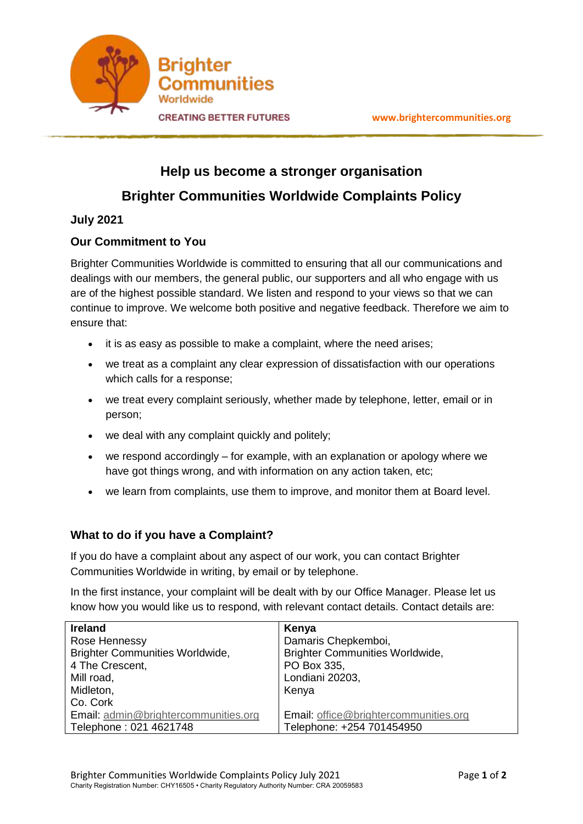

# **Help us become a stronger organisation Brighter Communities Worldwide Complaints Policy**

## **July 2021**

## **Our Commitment to You**

Brighter Communities Worldwide is committed to ensuring that all our communications and dealings with our members, the general public, our supporters and all who engage with us are of the highest possible standard. We listen and respond to your views so that we can continue to improve. We welcome both positive and negative feedback. Therefore we aim to ensure that:

- it is as easy as possible to make a complaint, where the need arises;
- we treat as a complaint any clear expression of dissatisfaction with our operations which calls for a response;
- we treat every complaint seriously, whether made by telephone, letter, email or in person;
- we deal with any complaint quickly and politely;
- we respond accordingly for example, with an explanation or apology where we have got things wrong, and with information on any action taken, etc;
- we learn from complaints, use them to improve, and monitor them at Board level.

## **What to do if you have a Complaint?**

If you do have a complaint about any aspect of our work, you can contact Brighter Communities Worldwide in writing, by email or by telephone.

In the first instance, your complaint will be dealt with by our Office Manager. Please let us know how you would like us to respond, with relevant contact details. Contact details are:

| <b>Ireland</b>                         | Kenya                                  |
|----------------------------------------|----------------------------------------|
| Rose Hennessy                          | Damaris Chepkemboi,                    |
| <b>Brighter Communities Worldwide,</b> | <b>Brighter Communities Worldwide,</b> |
| 4 The Crescent,                        | PO Box 335,                            |
| Mill road,                             | Londiani 20203,                        |
| Midleton,                              | Kenya                                  |
| Co. Cork                               |                                        |
| Email: admin@brightercommunities.org   | Email: office@brightercommunities.org  |
| Telephone: 021 4621748                 | Telephone: +254 701454950              |